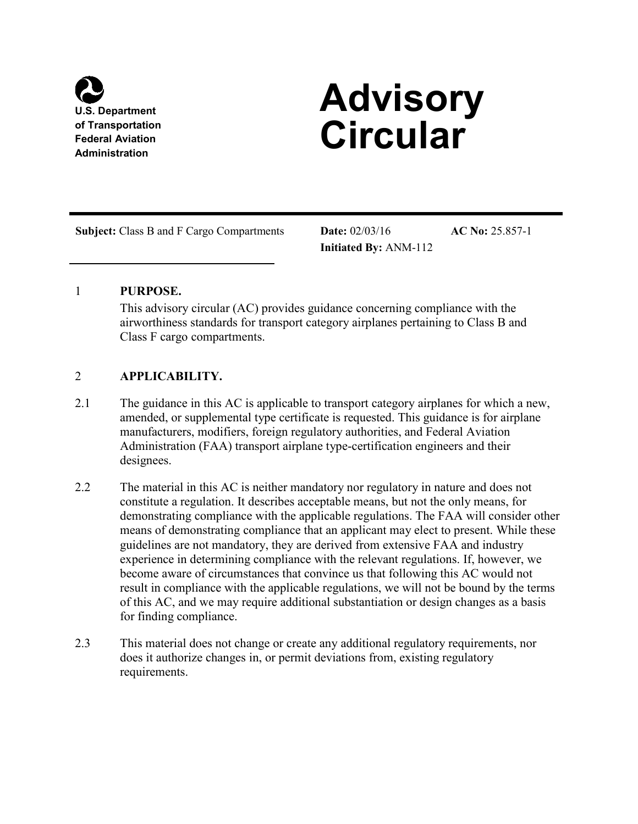

# *Advisory* of Transportation **Circular**

**Subject:** Class B and F Cargo Compartments **Date:** 02/03/16 **AC No:** 25.857-1

**Initiated By:** ANM-112

# 1 **PURPOSE.**

This advisory circular (AC) provides guidance concerning compliance with the airworthiness standards for transport category airplanes pertaining to Class B and Class F cargo compartments.

# 2 **APPLICABILITY.**

- 2.1 The guidance in this AC is applicable to transport category airplanes for which a new, Administration (FAA) transport airplane type-certification engineers and their amended, or supplemental type certificate is requested. This guidance is for airplane manufacturers, modifiers, foreign regulatory authorities, and Federal Aviation designees.
- 2.2 The material in this AC is neither mandatory nor regulatory in nature and does not result in compliance with the applicable regulations, we will not be bound by the terms of this AC, and we may require additional substantiation or design changes as a basis constitute a regulation. It describes acceptable means, but not the only means, for demonstrating compliance with the applicable regulations. The FAA will consider other means of demonstrating compliance that an applicant may elect to present. While these guidelines are not mandatory, they are derived from extensive FAA and industry experience in determining compliance with the relevant regulations. If, however, we become aware of circumstances that convince us that following this AC would not for finding compliance.
- 2.3 This material does not change or create any additional regulatory requirements, nor does it authorize changes in, or permit deviations from, existing regulatory requirements.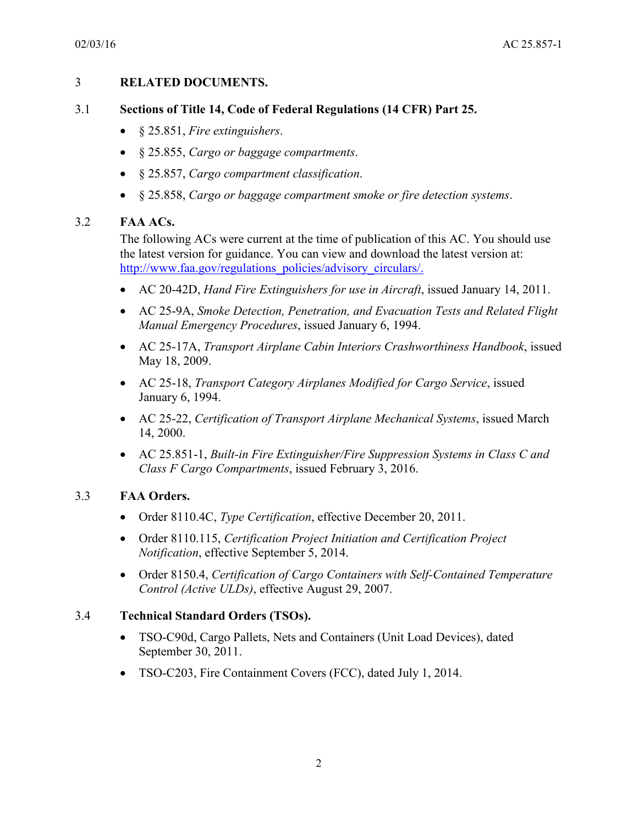#### 3 **RELATED DOCUMENTS.**

### 3.1 **Sections of Title 14, Code of Federal Regulations (14 CFR) Part 25.**

- • § 25.851, *Fire extinguishers*.
- • § 25.855, *Cargo or baggage compartments*.
- • § 25.857, *Cargo compartment classification*.
- • § 25.858, *Cargo or baggage compartment smoke or fire detection systems*.

### 3.2 **FAA ACs.**

The following ACs were current at the time of publication of this AC. You should use the latest version for guidance. You can view and download the latest version at: [http://www.faa.gov/regulations\\_policies/advisory\\_circulars/.](http://www.faa.gov/regulations_policies/advisory_circulars/)

- AC 20-42D, *Hand Fire Extinguishers for use in Aircraft*, issued January 14, 2011.
- • AC 25-9A, *Smoke Detection, Penetration, and Evacuation Tests and Related Flight Manual Emergency Procedures*, issued January 6, 1994.
- • AC 25-17A, *Transport Airplane Cabin Interiors Crashworthiness Handbook*, issued May 18, 2009.
- • AC 25-18, *Transport Category Airplanes Modified for Cargo Service*, issued January 6, 1994.
- • AC 25-22, *Certification of Transport Airplane Mechanical Systems*, issued March 14, 2000.
- • AC 25.851-1, *Built-in Fire Extinguisher/Fire Suppression Systems in Class C and Class F Cargo Compartments*, issued February 3, 2016.

### 3.3 **FAA Orders.**

- Order 8110.4C, *Type Certification*, effective December 20, 2011.
- Order 8110.115, *Certification Project Initiation and Certification Project Notification*, effective September 5, 2014.
- Order 8150.4, *Certification of Cargo Containers with Self-Contained Temperature Control (Active ULDs)*, effective August 29, 2007.

### 3.4 **Technical Standard Orders (TSOs).**

- TSO-C90d, Cargo Pallets, Nets and Containers (Unit Load Devices), dated September 30, 2011.
- TSO-C203, Fire Containment Covers (FCC), dated July 1, 2014.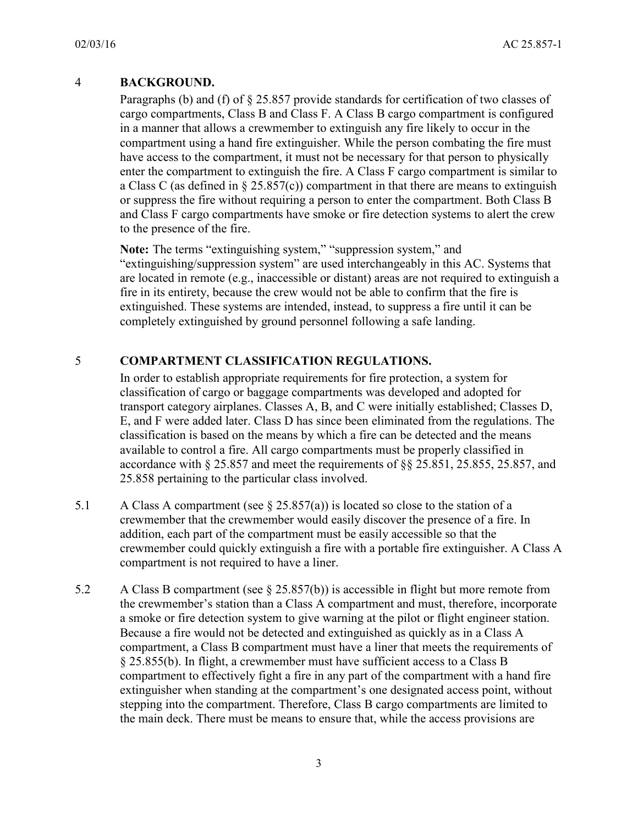### 4 **BACKGROUND.**

 and Class F cargo compartments have smoke or fire detection systems to alert the crew Paragraphs (b) and (f) of § 25.857 provide standards for certification of two classes of cargo compartments, Class B and Class F. A Class B cargo compartment is configured in a manner that allows a crewmember to extinguish any fire likely to occur in the compartment using a hand fire extinguisher. While the person combating the fire must have access to the compartment, it must not be necessary for that person to physically enter the compartment to extinguish the fire. A Class F cargo compartment is similar to a Class C (as defined in  $\S 25.857(c)$ ) compartment in that there are means to extinguish or suppress the fire without requiring a person to enter the compartment. Both Class B to the presence of the fire.

 are located in remote (e.g., inaccessible or distant) areas are not required to extinguish a extinguished. These systems are intended, instead, to suppress a fire until it can be Note: The terms "extinguishing system," "suppression system," and "extinguishing/suppression system" are used interchangeably in this AC. Systems that fire in its entirety, because the crew would not be able to confirm that the fire is completely extinguished by ground personnel following a safe landing.

# 5 **COMPARTMENT CLASSIFICATION REGULATIONS.**

 classification of cargo or baggage compartments was developed and adopted for 25.858 pertaining to the particular class involved. In order to establish appropriate requirements for fire protection, a system for transport category airplanes. Classes A, B, and C were initially established; Classes D, E, and F were added later. Class D has since been eliminated from the regulations. The classification is based on the means by which a fire can be detected and the means available to control a fire. All cargo compartments must be properly classified in accordance with § 25.857 and meet the requirements of §§ 25.851, 25.855, 25.857, and

- compartment is not required to have a liner. 5.1 A Class A compartment (see  $\S$  25.857(a)) is located so close to the station of a crewmember that the crewmember would easily discover the presence of a fire. In addition, each part of the compartment must be easily accessible so that the crewmember could quickly extinguish a fire with a portable fire extinguisher. A Class A
- 5.2 A Class B compartment (see  $\S 25.857(b)$ ) is accessible in flight but more remote from a smoke or fire detection system to give warning at the pilot or flight engineer station. Because a fire would not be detected and extinguished as quickly as in a Class A the crewmember's station than a Class A compartment and must, therefore, incorporate compartment, a Class B compartment must have a liner that meets the requirements of § 25.855(b). In flight, a crewmember must have sufficient access to a Class B compartment to effectively fight a fire in any part of the compartment with a hand fire extinguisher when standing at the compartment's one designated access point, without stepping into the compartment. Therefore, Class B cargo compartments are limited to the main deck. There must be means to ensure that, while the access provisions are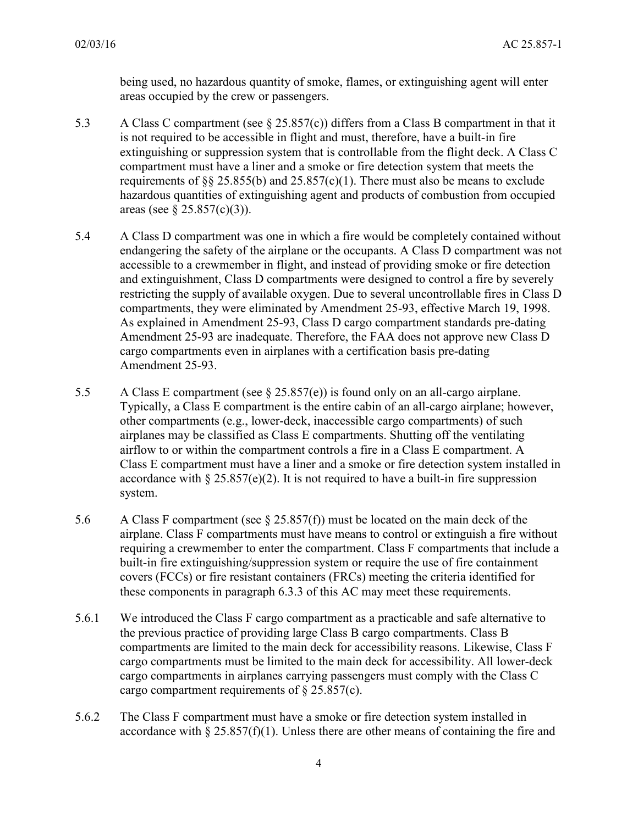being used, no hazardous quantity of smoke, flames, or extinguishing agent will enter areas occupied by the crew or passengers.

- compartment must have a liner and a smoke or fire detection system that meets the requirements of §§ 25.855(b) and 25.857(c)(1). There must also be means to exclude 5.3 A Class C compartment (see § 25.857(c)) differs from a Class B compartment in that it is not required to be accessible in flight and must, therefore, have a built-in fire extinguishing or suppression system that is controllable from the flight deck. A Class C hazardous quantities of extinguishing agent and products of combustion from occupied areas (see  $\S 25.857(c)(3)$ ).
- <span id="page-3-0"></span> accessible to a crewmember in flight, and instead of providing smoke or fire detection 5.4 A Class D compartment was one in which a fire would be completely contained without endangering the safety of the airplane or the occupants. A Class D compartment was not and extinguishment, Class D compartments were designed to control a fire by severely restricting the supply of available oxygen. Due to several uncontrollable fires in Class D compartments, they were eliminated by Amendment 25-93, effective March 19, 1998. As explained in Amendment 25-93, Class D cargo compartment standards pre-dating Amendment 25-93 are inadequate. Therefore, the FAA does not approve new Class D cargo compartments even in airplanes with a certification basis pre-dating Amendment 25-93.
- 5.5 A Class E compartment (see § 25.857(e)) is found only on an all-cargo airplane. Typically, a Class E compartment is the entire cabin of an all-cargo airplane; however, other compartments (e.g., lower-deck, inaccessible cargo compartments) of such airplanes may be classified as Class E compartments. Shutting off the ventilating airflow to or within the compartment controls a fire in a Class E compartment. A Class E compartment must have a liner and a smoke or fire detection system installed in accordance with  $\S 25.857(e)(2)$ . It is not required to have a built-in fire suppression system.
- airplane. Class F compartments must have means to control or extinguish a fire without built-in fire extinguishing/suppression system or require the use of fire containment 5.6 A Class F compartment (see § 25.857(f)) must be located on the main deck of the requiring a crewmember to enter the compartment. Class F compartments that include a covers (FCCs) or fire resistant containers (FRCs) meeting the criteria identified for these components in paragraph [6.3.3](#page-7-0) of this AC may meet these requirements.
- 5.6.1 We introduced the Class F cargo compartment as a practicable and safe alternative to the previous practice of providing large Class B cargo compartments. Class B compartments are limited to the main deck for accessibility reasons. Likewise, Class F cargo compartments must be limited to the main deck for accessibility. All lower-deck cargo compartments in airplanes carrying passengers must comply with the Class C cargo compartment requirements of § 25.857(c).
- 5.6.2 The Class F compartment must have a smoke or fire detection system installed in accordance with  $\S 25.857(f)(1)$ . Unless there are other means of containing the fire and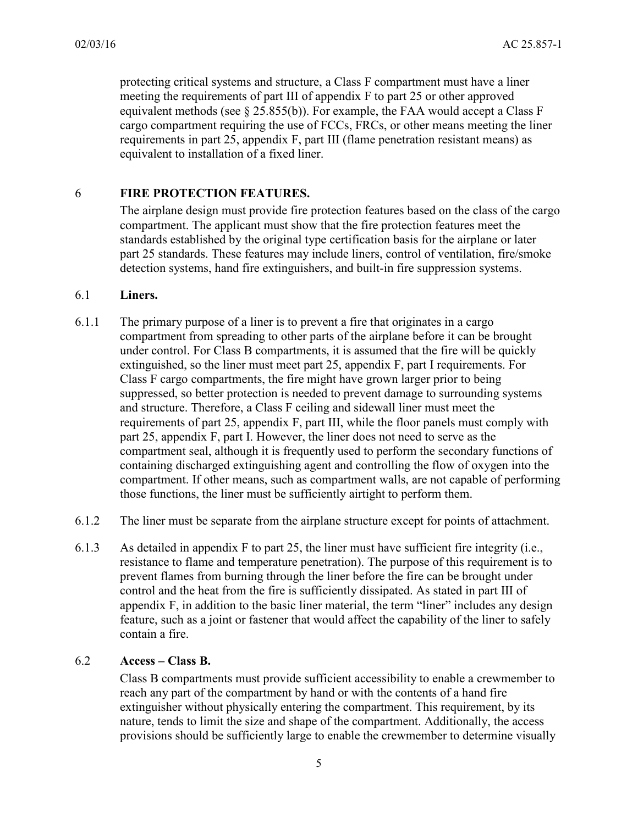protecting critical systems and structure, a Class F compartment must have a liner meeting the requirements of part III of appendix F to part 25 or other approved cargo compartment requiring the use of FCCs, FRCs, or other means meeting the liner requirements in part 25, appendix F, part III (flame penetration resistant means) as equivalent methods (see  $\S$  25.855(b)). For example, the FAA would accept a Class F equivalent to installation of a fixed liner.

#### 6 **FIRE PROTECTION FEATURES.**

 standards established by the original type certification basis for the airplane or later The airplane design must provide fire protection features based on the class of the cargo compartment. The applicant must show that the fire protection features meet the part 25 standards. These features may include liners, control of ventilation, fire/smoke detection systems, hand fire extinguishers, and built-in fire suppression systems.

### 6.1 **Liners.**

- compartment from spreading to other parts of the airplane before it can be brought extinguished, so the liner must meet part 25, appendix F, part I requirements. For part 25, appendix F, part I. However, the liner does not need to serve as the 6.1.1 The primary purpose of a liner is to prevent a fire that originates in a cargo under control. For Class B compartments, it is assumed that the fire will be quickly Class F cargo compartments, the fire might have grown larger prior to being suppressed, so better protection is needed to prevent damage to surrounding systems and structure. Therefore, a Class F ceiling and sidewall liner must meet the requirements of part 25, appendix F, part III, while the floor panels must comply with compartment seal, although it is frequently used to perform the secondary functions of containing discharged extinguishing agent and controlling the flow of oxygen into the compartment. If other means, such as compartment walls, are not capable of performing those functions, the liner must be sufficiently airtight to perform them.
- 6.1.2 The liner must be separate from the airplane structure except for points of attachment.
- resistance to flame and temperature penetration). The purpose of this requirement is to control and the heat from the fire is sufficiently dissipated. As stated in part III of 6.1.3 As detailed in appendix F to part 25, the liner must have sufficient fire integrity (i.e., prevent flames from burning through the liner before the fire can be brought under appendix F, in addition to the basic liner material, the term "liner" includes any design feature, such as a joint or fastener that would affect the capability of the liner to safely contain a fire.

### 6.2 **Access – Class B.**

Class B compartments must provide sufficient accessibility to enable a crewmember to reach any part of the compartment by hand or with the contents of a hand fire extinguisher without physically entering the compartment. This requirement, by its nature, tends to limit the size and shape of the compartment. Additionally, the access provisions should be sufficiently large to enable the crewmember to determine visually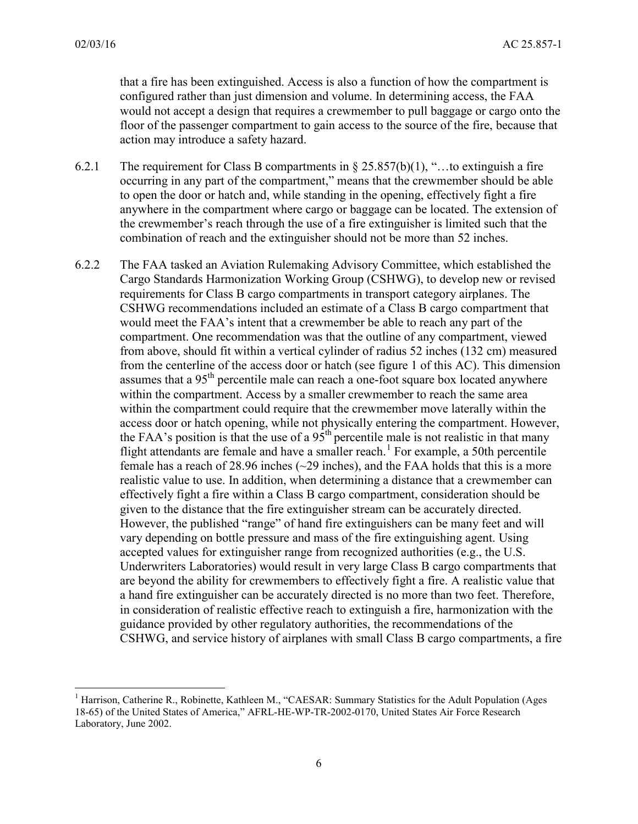-

 floor of the passenger compartment to gain access to the source of the fire, because that that a fire has been extinguished. Access is also a function of how the compartment is configured rather than just dimension and volume. In determining access, the FAA would not accept a design that requires a crewmember to pull baggage or cargo onto the action may introduce a safety hazard.

- anywhere in the compartment where cargo or baggage can be located. The extension of 6.2.1 The requirement for Class B compartments in  $\S 25.857(b)(1)$ , "...to extinguish a fire occurring in any part of the compartment," means that the crewmember should be able to open the door or hatch and, while standing in the opening, effectively fight a fire the crewmember's reach through the use of a fire extinguisher is limited such that the combination of reach and the extinguisher should not be more than 52 inches.
- CSHWG recommendations included an estimate of a Class B cargo compartment that would meet the FAA's intent that a crewmember be able to reach any part of the assumes that a 95<sup>th</sup> percentile male can reach a one-foot square box located anywhere flight attendants are female and have a smaller reach.<sup>[1](#page-5-0)</sup> For example, a 50th percentile vary depending on bottle pressure and mass of the fire extinguishing agent. Using accepted values for extinguisher range from recognized authorities (e.g., the U.S. CSHWG, and service history of airplanes with small Class B cargo compartments, a fire 6.2.2 The FAA tasked an Aviation Rulemaking Advisory Committee, which established the Cargo Standards Harmonization Working Group (CSHWG), to develop new or revised requirements for Class B cargo compartments in transport category airplanes. The compartment. One recommendation was that the outline of any compartment, viewed from above, should fit within a vertical cylinder of radius 52 inches (132 cm) measured from the centerline of the access door or hatch (see [figure 1](#page-6-0) of this AC). This dimension within the compartment. Access by a smaller crewmember to reach the same area within the compartment could require that the crewmember move laterally within the access door or hatch opening, while not physically entering the compartment. However, the FAA's position is that the use of a  $95<sup>th</sup>$  percentile male is not realistic in that many female has a reach of 28.96 inches (~29 inches), and the FAA holds that this is a more realistic value to use. In addition, when determining a distance that a crewmember can effectively fight a fire within a Class B cargo compartment, consideration should be given to the distance that the fire extinguisher stream can be accurately directed. However, the published "range" of hand fire extinguishers can be many feet and will Underwriters Laboratories) would result in very large Class B cargo compartments that are beyond the ability for crewmembers to effectively fight a fire. A realistic value that a hand fire extinguisher can be accurately directed is no more than two feet. Therefore, in consideration of realistic effective reach to extinguish a fire, harmonization with the guidance provided by other regulatory authorities, the recommendations of the

<span id="page-5-0"></span> Laboratory, June 2002. <sup>1</sup> Harrison, Catherine R., Robinette, Kathleen M., "CAESAR: Summary Statistics for the Adult Population (Ages 18-65) of the United States of America," AFRL-HE-WP-TR-2002-0170, United States Air Force Research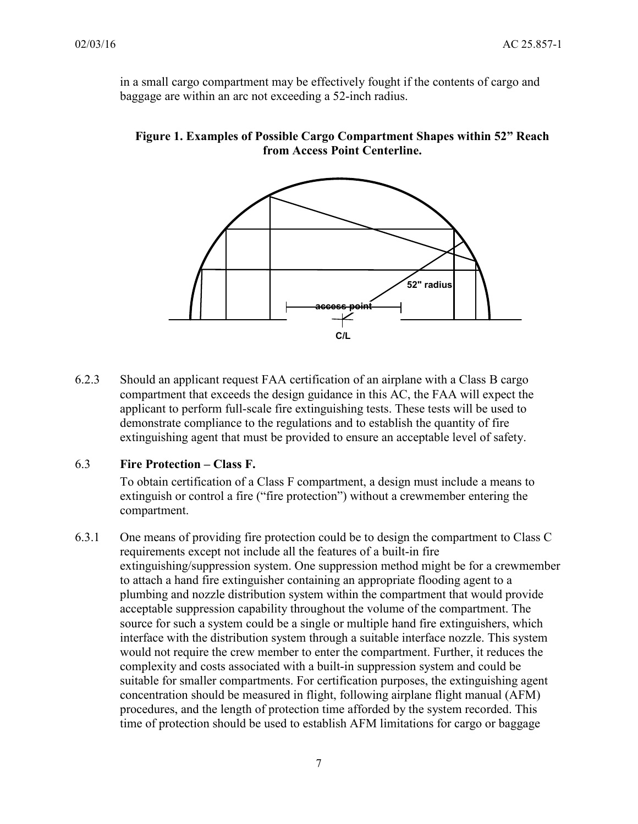in a small cargo compartment may be effectively fought if the contents of cargo and baggage are within an arc not exceeding a 52-inch radius.

<span id="page-6-0"></span>



 demonstrate compliance to the regulations and to establish the quantity of fire 6.2.3 Should an applicant request FAA certification of an airplane with a Class B cargo compartment that exceeds the design guidance in this AC, the FAA will expect the applicant to perform full-scale fire extinguishing tests. These tests will be used to extinguishing agent that must be provided to ensure an acceptable level of safety.

### 6.3 **Fire Protection – Class F.**

To obtain certification of a Class F compartment, a design must include a means to extinguish or control a fire ("fire protection") without a crewmember entering the compartment.

 to attach a hand fire extinguisher containing an appropriate flooding agent to a 6.3.1 One means of providing fire protection could be to design the compartment to Class C requirements except not include all the features of a built-in fire extinguishing/suppression system. One suppression method might be for a crewmember plumbing and nozzle distribution system within the compartment that would provide acceptable suppression capability throughout the volume of the compartment. The source for such a system could be a single or multiple hand fire extinguishers, which interface with the distribution system through a suitable interface nozzle. This system would not require the crew member to enter the compartment. Further, it reduces the complexity and costs associated with a built-in suppression system and could be suitable for smaller compartments. For certification purposes, the extinguishing agent concentration should be measured in flight, following airplane flight manual (AFM) procedures, and the length of protection time afforded by the system recorded. This time of protection should be used to establish AFM limitations for cargo or baggage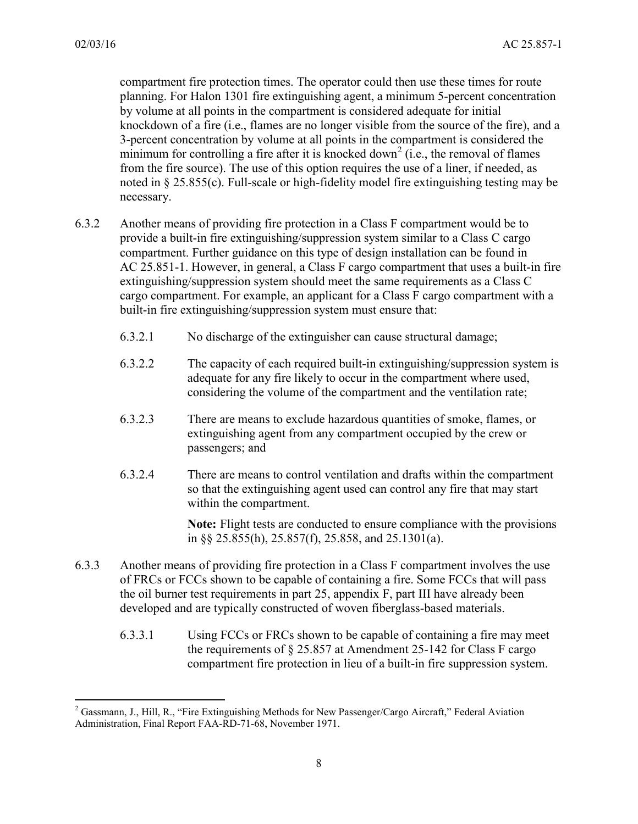$\overline{a}$ 

 3-percent concentration by volume at all points in the compartment is considered the noted in § 25.855(c). Full-scale or high-fidelity model fire extinguishing testing may be compartment fire protection times. The operator could then use these times for route planning. For Halon 1301 fire extinguishing agent, a minimum 5-percent concentration by volume at all points in the compartment is considered adequate for initial knockdown of a fire (i.e., flames are no longer visible from the source of the fire), and a minimum for controlling a fire after it is knocked down<sup>2</sup> (i.e., the removal of flames from the fire source). The use of this option requires the use of a liner, if needed, as necessary.

- provide a built-in fire extinguishing/suppression system similar to a Class C cargo 6.3.2 Another means of providing fire protection in a Class F compartment would be to compartment. Further guidance on this type of design installation can be found in AC 25.851-1. However, in general, a Class F cargo compartment that uses a built-in fire extinguishing/suppression system should meet the same requirements as a Class C cargo compartment. For example, an applicant for a Class F cargo compartment with a built-in fire extinguishing/suppression system must ensure that:
	- 6.3.2.1 No discharge of the extinguisher can cause structural damage;
	- adequate for any fire likely to occur in the compartment where used, 6.3.2.2 The capacity of each required built-in extinguishing/suppression system is considering the volume of the compartment and the ventilation rate;
	- passengers; and 6.3.2.3 There are means to exclude hazardous quantities of smoke, flames, or extinguishing agent from any compartment occupied by the crew or
	- 6.3.2.4 There are means to control ventilation and drafts within the compartment so that the extinguishing agent used can control any fire that may start within the compartment.

**Note:** Flight tests are conducted to ensure compliance with the provisions in §§ 25.855(h), 25.857(f), 25.858, and 25.1301(a).

- <span id="page-7-0"></span> the oil burner test requirements in part 25, appendix F, part III have already been 6.3.3 Another means of providing fire protection in a Class F compartment involves the use of FRCs or FCCs shown to be capable of containing a fire. Some FCCs that will pass developed and are typically constructed of woven fiberglass-based materials.
	- 6.3.3.1 Using FCCs or FRCs shown to be capable of containing a fire may meet the requirements of § 25.857 at Amendment 25-142 for Class F cargo compartment fire protection in lieu of a built-in fire suppression system.

<span id="page-7-1"></span><sup>&</sup>lt;sup>2</sup> Gassmann, J., Hill, R., "Fire Extinguishing Methods for New Passenger/Cargo Aircraft," Federal Aviation Administration, Final Report FAA-RD-71-68, November 1971.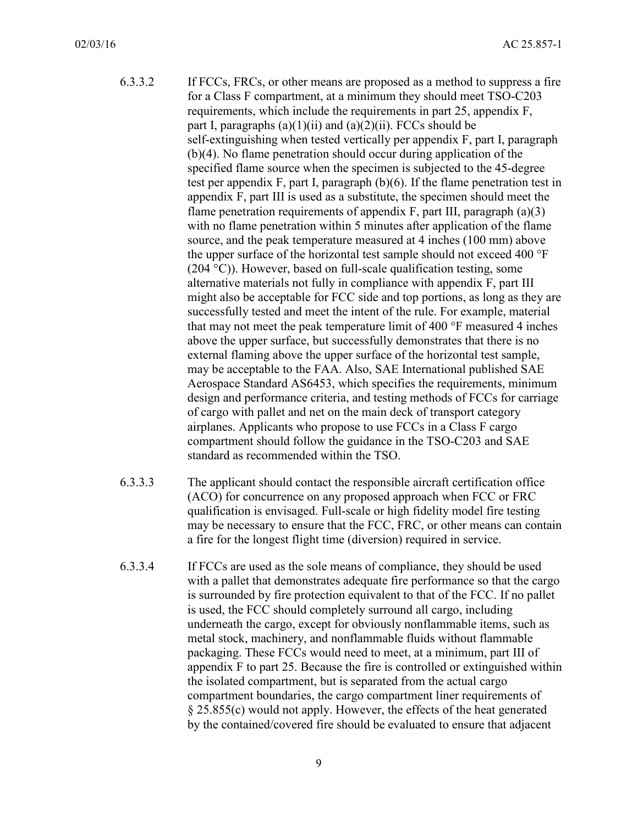- <span id="page-8-0"></span> 6.3.3.2 If FCCs, FRCs, or other means are proposed as a method to suppress a fire for a Class F compartment, at a minimum they should meet TSO-C203 requirements, which include the requirements in part 25, appendix F, part I, paragraphs  $(a)(1)(ii)$  and  $(a)(2)(ii)$ . FCCs should be self-extinguishing when tested vertically per appendix F, part I, paragraph (b)(4). No flame penetration should occur during application of the specified flame source when the specimen is subjected to the 45-degree test per appendix F, part I, paragraph (b)(6). If the flame penetration test in appendix F, part III is used as a substitute, the specimen should meet the flame penetration requirements of appendix  $F$ , part III, paragraph (a)(3) with no flame penetration within 5 minutes after application of the flame source, and the peak temperature measured at 4 inches (100 mm) above the upper surface of the horizontal test sample should not exceed 400 °F  $(204 \degree C)$ ). However, based on full-scale qualification testing, some alternative materials not fully in compliance with appendix F, part III might also be acceptable for FCC side and top portions, as long as they are successfully tested and meet the intent of the rule. For example, material that may not meet the peak temperature limit of 400 °F measured 4 inches above the upper surface, but successfully demonstrates that there is no external flaming above the upper surface of the horizontal test sample, may be acceptable to the FAA. Also, SAE International published SAE Aerospace Standard AS6453, which specifies the requirements, minimum design and performance criteria, and testing methods of FCCs for carriage of cargo with pallet and net on the main deck of transport category airplanes. Applicants who propose to use FCCs in a Class F cargo compartment should follow the guidance in the TSO-C203 and SAE standard as recommended within the TSO.
- (ACO) for concurrence on any proposed approach when FCC or FRC qualification is envisaged. Full-scale or high fidelity model fire testing 6.3.3.3 The applicant should contact the responsible aircraft certification office may be necessary to ensure that the FCC, FRC, or other means can contain a fire for the longest flight time (diversion) required in service.
- packaging. These FCCs would need to meet, at a minimum, part III of the isolated compartment, but is separated from the actual cargo § 25.855(c) would not apply. However, the effects of the heat generated 6.3.3.4 If FCCs are used as the sole means of compliance, they should be used with a pallet that demonstrates adequate fire performance so that the cargo is surrounded by fire protection equivalent to that of the FCC. If no pallet is used, the FCC should completely surround all cargo, including underneath the cargo, except for obviously nonflammable items, such as metal stock, machinery, and nonflammable fluids without flammable appendix F to part 25. Because the fire is controlled or extinguished within compartment boundaries, the cargo compartment liner requirements of by the contained/covered fire should be evaluated to ensure that adjacent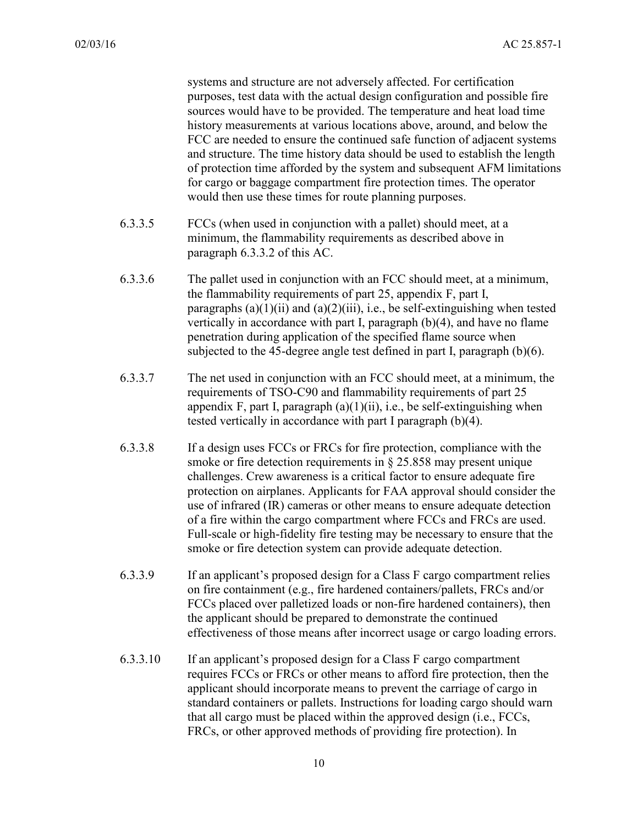systems and structure are not adversely affected. For certification purposes, test data with the actual design configuration and possible fire sources would have to be provided. The temperature and heat load time history measurements at various locations above, around, and below the FCC are needed to ensure the continued safe function of adjacent systems and structure. The time history data should be used to establish the length of protection time afforded by the system and subsequent AFM limitations for cargo or baggage compartment fire protection times. The operator would then use these times for route planning purposes.

- 6.3.3.5 FCCs (when used in conjunction with a pallet) should meet, at a minimum, the flammability requirements as described above in paragraph [6.3.3.2](#page-8-0) of this AC.
- 6.3.3.6 The pallet used in conjunction with an FCC should meet, at a minimum, the flammability requirements of part 25, appendix F, part I, paragraphs  $(a)(1)(ii)$  and  $(a)(2)(iii)$ , i.e., be self-extinguishing when tested vertically in accordance with part I, paragraph (b)(4), and have no flame penetration during application of the specified flame source when subjected to the 45-degree angle test defined in part I, paragraph (b)(6).
- tested vertically in accordance with part I paragraph (b)(4). 6.3.3.7 The net used in conjunction with an FCC should meet, at a minimum, the requirements of TSO-C90 and flammability requirements of part 25 appendix F, part I, paragraph  $(a)(1)(ii)$ , i.e., be self-extinguishing when
- 6.3.3.8 If a design uses FCCs or FRCs for fire protection, compliance with the Full-scale or high-fidelity fire testing may be necessary to ensure that the smoke or fire detection requirements in § 25.858 may present unique challenges. Crew awareness is a critical factor to ensure adequate fire protection on airplanes. Applicants for FAA approval should consider the use of infrared (IR) cameras or other means to ensure adequate detection of a fire within the cargo compartment where FCCs and FRCs are used. smoke or fire detection system can provide adequate detection.
- 6.3.3.9 If an applicant's proposed design for a Class F cargo compartment relies on fire containment (e.g., fire hardened containers/pallets, FRCs and/or FCCs placed over palletized loads or non-fire hardened containers), then the applicant should be prepared to demonstrate the continued effectiveness of those means after incorrect usage or cargo loading errors.
- applicant should incorporate means to prevent the carriage of cargo in 6.3.3.10 If an applicant's proposed design for a Class F cargo compartment requires FCCs or FRCs or other means to afford fire protection, then the standard containers or pallets. Instructions for loading cargo should warn that all cargo must be placed within the approved design (i.e., FCCs, FRCs, or other approved methods of providing fire protection). In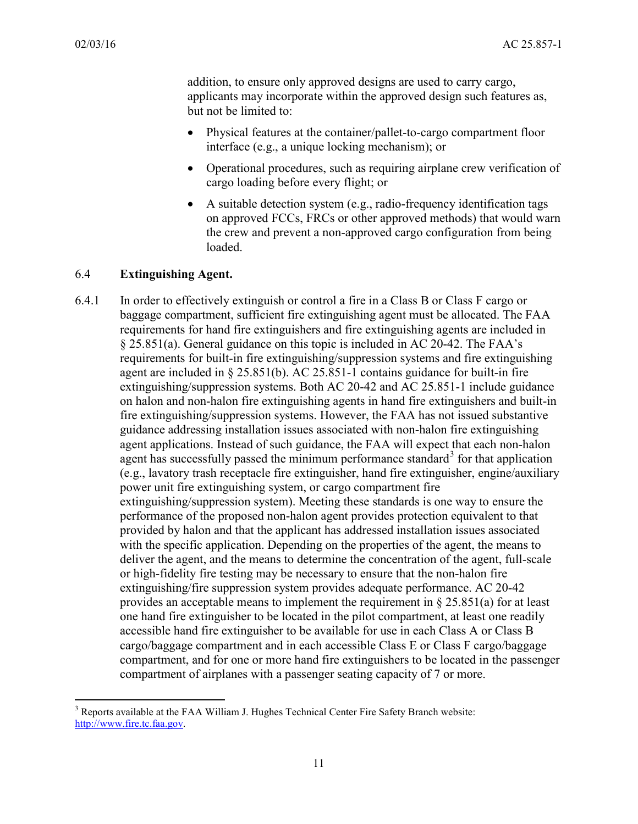$\overline{a}$ 

addition, to ensure only approved designs are used to carry cargo, applicants may incorporate within the approved design such features as, but not be limited to:

- Physical features at the container/pallet-to-cargo compartment floor interface (e.g., a unique locking mechanism); or
- • Operational procedures, such as requiring airplane crew verification of cargo loading before every flight; or
- A suitable detection system (e.g., radio-frequency identification tags) on approved FCCs, FRCs or other approved methods) that would warn the crew and prevent a non-approved cargo configuration from being loaded.

### 6.4 **Extinguishing Agent.**

 or high-fidelity fire testing may be necessary to ensure that the non-halon fire provides an acceptable means to implement the requirement in § 25.851(a) for at least 6.4.1 In order to effectively extinguish or control a fire in a Class B or Class F cargo or baggage compartment, sufficient fire extinguishing agent must be allocated. The FAA requirements for hand fire extinguishers and fire extinguishing agents are included in § 25.851(a). General guidance on this topic is included in AC 20-42. The FAA's requirements for built-in fire extinguishing/suppression systems and fire extinguishing agent are included in § 25.851(b). AC 25.851-1 contains guidance for built-in fire extinguishing/suppression systems. Both AC 20-42 and AC 25.851-1 include guidance on halon and non-halon fire extinguishing agents in hand fire extinguishers and built-in fire extinguishing/suppression systems. However, the FAA has not issued substantive guidance addressing installation issues associated with non-halon fire extinguishing agent applications. Instead of such guidance, the FAA will expect that each non-halon agent has successfully passed the minimum performance standard<sup>[3](#page-10-0)</sup> for that application (e.g., lavatory trash receptacle fire extinguisher, hand fire extinguisher, engine/auxiliary power unit fire extinguishing system, or cargo compartment fire extinguishing/suppression system). Meeting these standards is one way to ensure the performance of the proposed non-halon agent provides protection equivalent to that provided by halon and that the applicant has addressed installation issues associated with the specific application. Depending on the properties of the agent, the means to deliver the agent, and the means to determine the concentration of the agent, full-scale extinguishing/fire suppression system provides adequate performance. AC 20-42 one hand fire extinguisher to be located in the pilot compartment, at least one readily accessible hand fire extinguisher to be available for use in each Class A or Class B cargo/baggage compartment and in each accessible Class E or Class F cargo/baggage compartment, and for one or more hand fire extinguishers to be located in the passenger compartment of airplanes with a passenger seating capacity of 7 or more.

<span id="page-10-0"></span><sup>&</sup>lt;sup>3</sup> Reports available at the FAA William J. Hughes Technical Center Fire Safety Branch website: [http://www.fire.tc.faa.gov.](http://www.fire.tc.faa.gov/)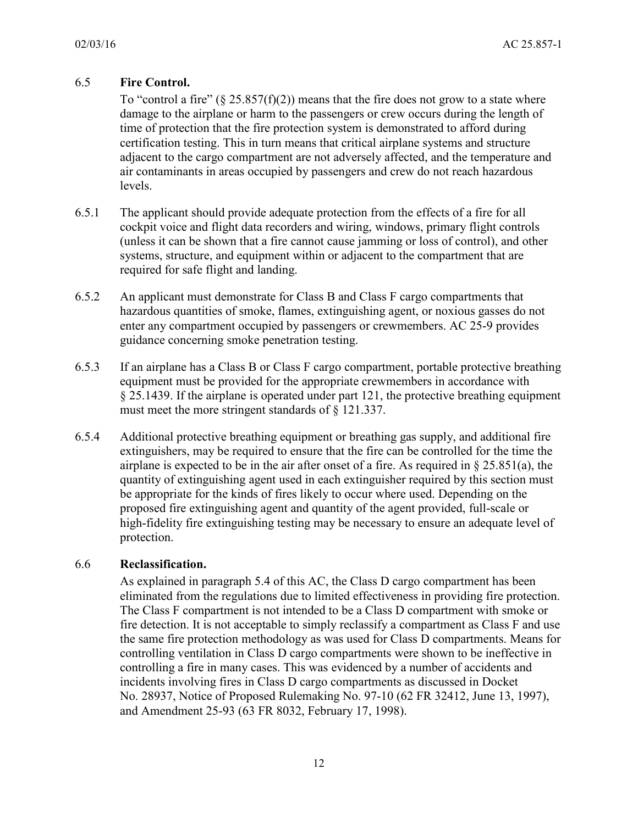# 6.5 **Fire Control.**

To "control a fire"  $(\S 25.857(f)(2))$  means that the fire does not grow to a state where damage to the airplane or harm to the passengers or crew occurs during the length of adjacent to the cargo compartment are not adversely affected, and the temperature and time of protection that the fire protection system is demonstrated to afford during certification testing. This in turn means that critical airplane systems and structure air contaminants in areas occupied by passengers and crew do not reach hazardous levels.

- 6.5.1 The applicant should provide adequate protection from the effects of a fire for all cockpit voice and flight data recorders and wiring, windows, primary flight controls (unless it can be shown that a fire cannot cause jamming or loss of control), and other systems, structure, and equipment within or adjacent to the compartment that are required for safe flight and landing.
- 6.5.2 An applicant must demonstrate for Class B and Class F cargo compartments that hazardous quantities of smoke, flames, extinguishing agent, or noxious gasses do not enter any compartment occupied by passengers or crewmembers. AC 25-9 provides guidance concerning smoke penetration testing.
- 6.5.3 If an airplane has a Class B or Class F cargo compartment, portable protective breathing equipment must be provided for the appropriate crewmembers in accordance with § 25.1439. If the airplane is operated under part 121, the protective breathing equipment must meet the more stringent standards of § 121.337.
- extinguishers, may be required to ensure that the fire can be controlled for the time the be appropriate for the kinds of fires likely to occur where used. Depending on the 6.5.4 Additional protective breathing equipment or breathing gas supply, and additional fire airplane is expected to be in the air after onset of a fire. As required in § 25.851(a), the quantity of extinguishing agent used in each extinguisher required by this section must proposed fire extinguishing agent and quantity of the agent provided, full-scale or high-fidelity fire extinguishing testing may be necessary to ensure an adequate level of protection.

### 6.6 **Reclassification.**

As explained in paragraph [5.4](#page-3-0) of this AC, the Class D cargo compartment has been eliminated from the regulations due to limited effectiveness in providing fire protection. The Class F compartment is not intended to be a Class D compartment with smoke or fire detection. It is not acceptable to simply reclassify a compartment as Class F and use the same fire protection methodology as was used for Class D compartments. Means for controlling ventilation in Class D cargo compartments were shown to be ineffective in controlling a fire in many cases. This was evidenced by a number of accidents and incidents involving fires in Class D cargo compartments as discussed in Docket No. 28937, Notice of Proposed Rulemaking No. 97-10 (62 FR 32412, June 13, 1997), and Amendment 25-93 (63 FR 8032, February 17, 1998).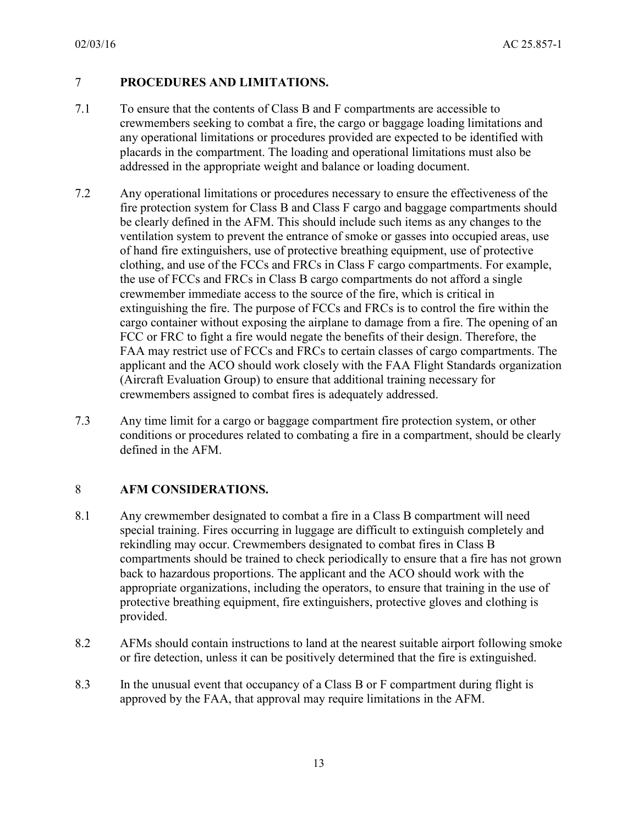### 7 **PROCEDURES AND LIMITATIONS.**

- 7.1 To ensure that the contents of Class B and F compartments are accessible to crewmembers seeking to combat a fire, the cargo or baggage loading limitations and any operational limitations or procedures provided are expected to be identified with placards in the compartment. The loading and operational limitations must also be addressed in the appropriate weight and balance or loading document.
- 7.2 Any operational limitations or procedures necessary to ensure the effectiveness of the fire protection system for Class B and Class F cargo and baggage compartments should be clearly defined in the AFM. This should include such items as any changes to the ventilation system to prevent the entrance of smoke or gasses into occupied areas, use of hand fire extinguishers, use of protective breathing equipment, use of protective clothing, and use of the FCCs and FRCs in Class F cargo compartments. For example, the use of FCCs and FRCs in Class B cargo compartments do not afford a single crewmember immediate access to the source of the fire, which is critical in extinguishing the fire. The purpose of FCCs and FRCs is to control the fire within the cargo container without exposing the airplane to damage from a fire. The opening of an FCC or FRC to fight a fire would negate the benefits of their design. Therefore, the FAA may restrict use of FCCs and FRCs to certain classes of cargo compartments. The applicant and the ACO should work closely with the FAA Flight Standards organization (Aircraft Evaluation Group) to ensure that additional training necessary for crewmembers assigned to combat fires is adequately addressed.
- 7.3 Any time limit for a cargo or baggage compartment fire protection system, or other conditions or procedures related to combating a fire in a compartment, should be clearly defined in the AFM.

### 8 **AFM CONSIDERATIONS.**

- 8.1 Any crewmember designated to combat a fire in a Class B compartment will need special training. Fires occurring in luggage are difficult to extinguish completely and rekindling may occur. Crewmembers designated to combat fires in Class B compartments should be trained to check periodically to ensure that a fire has not grown back to hazardous proportions. The applicant and the ACO should work with the appropriate organizations, including the operators, to ensure that training in the use of protective breathing equipment, fire extinguishers, protective gloves and clothing is provided.
- 8.2 AFMs should contain instructions to land at the nearest suitable airport following smoke or fire detection, unless it can be positively determined that the fire is extinguished.
- approved by the FAA, that approval may require limitations in the AFM. 8.3 In the unusual event that occupancy of a Class B or F compartment during flight is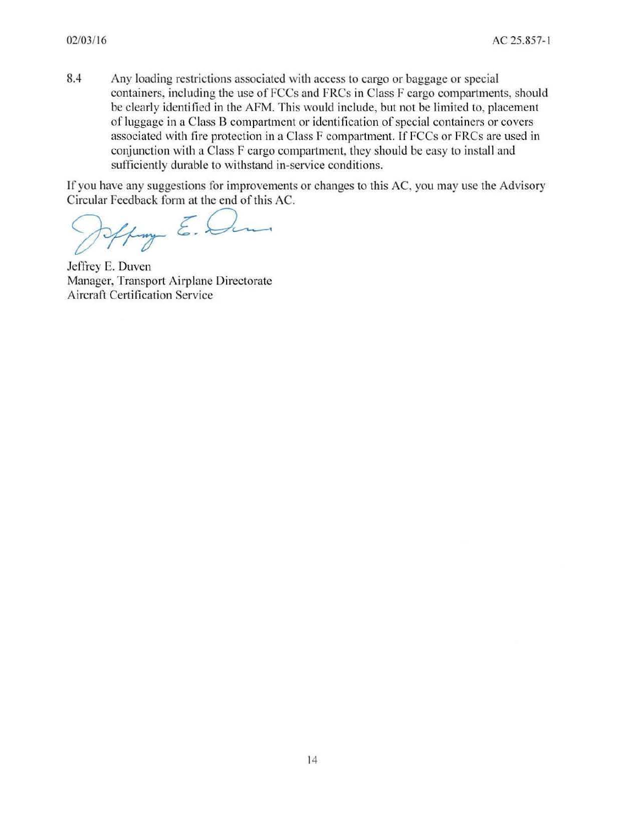8.4 Any loading restrictions associated with access to cargo or baggage or special containers, including the use of FCCs and FRCs in Class F cargo compartments, should be clearly identified in the AFM. This would include, but not be limited to, placement of luggage in a Class B compartment or identification of special containers or covers associated with fire protection in a Class F compartment. If FCCs or FRCs are used in conjunction with a Class F cargo compartment, they should be easy to install and sufficiently durable to withstand in-service conditions.

If you have any suggestions for improvements or changes to this AC, you may use the Advisory Circular Feedback form at the end of this AC.

Hay E.E

Jeffrey E. Duven Manager, Transport Airplane Directorate Aircraft Certification Service